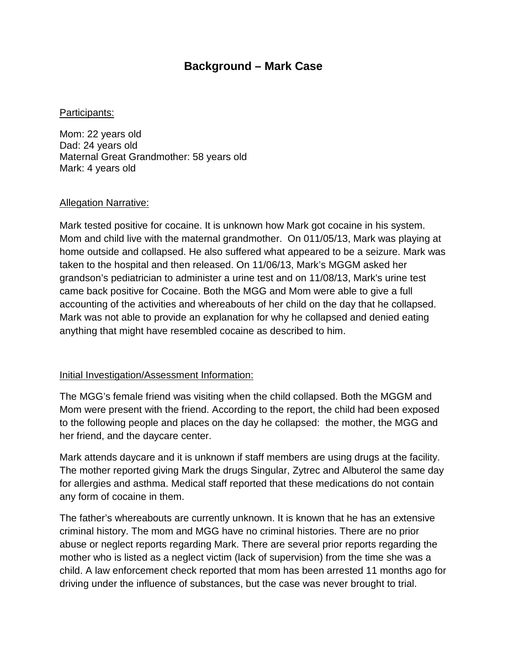## **Background – Mark Case**

## Participants:

Mom: 22 years old Dad: 24 years old Maternal Great Grandmother: 58 years old Mark: 4 years old

## Allegation Narrative:

Mark tested positive for cocaine. It is unknown how Mark got cocaine in his system. Mom and child live with the maternal grandmother. On 011/05/13, Mark was playing at home outside and collapsed. He also suffered what appeared to be a seizure. Mark was taken to the hospital and then released. On 11/06/13, Mark's MGGM asked her grandson's pediatrician to administer a urine test and on 11/08/13, Mark's urine test came back positive for Cocaine. Both the MGG and Mom were able to give a full accounting of the activities and whereabouts of her child on the day that he collapsed. Mark was not able to provide an explanation for why he collapsed and denied eating anything that might have resembled cocaine as described to him.

## Initial Investigation/Assessment Information:

The MGG's female friend was visiting when the child collapsed. Both the MGGM and Mom were present with the friend. According to the report, the child had been exposed to the following people and places on the day he collapsed: the mother, the MGG and her friend, and the daycare center.

Mark attends daycare and it is unknown if staff members are using drugs at the facility. The mother reported giving Mark the drugs Singular, Zytrec and Albuterol the same day for allergies and asthma. Medical staff reported that these medications do not contain any form of cocaine in them.

The father's whereabouts are currently unknown. It is known that he has an extensive criminal history. The mom and MGG have no criminal histories. There are no prior abuse or neglect reports regarding Mark. There are several prior reports regarding the mother who is listed as a neglect victim (lack of supervision) from the time she was a child. A law enforcement check reported that mom has been arrested 11 months ago for driving under the influence of substances, but the case was never brought to trial.